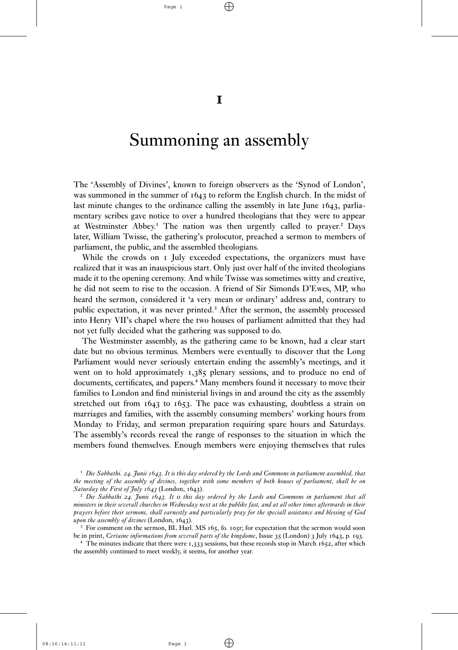$\oplus$ 

 $\bf{I}$ 

# Summoning an assembly

The 'Assembly of Divines', known to foreign observers as the 'Synod of London', was summoned in the summer of  $1643$  to reform the English church. In the midst of last minute changes to the ordinance calling the assembly in late June  $1643$ , parliamentary scribes gave notice to over a hundred theologians that they were to appear at Westminster Abbey.<sup>1</sup> The nation was then urgently called to prayer.<sup>2</sup> Days later, William Twisse, the gathering's prolocutor, preached a sermon to members of parliament, the public, and the assembled theologians.

While the crowds on I July exceeded expectations, the organizers must have realized that it was an inauspicious start. Only just over half of the invited theologians made it to the opening ceremony. And while Twisse was sometimes witty and creative, he did not seem to rise to the occasion. A friend of Sir Simonds D'Ewes, MP, who heard the sermon, considered it 'a very mean or ordinary' address and, contrary to public expectation, it was never printed.<sup>3</sup> After the sermon, the assembly processed into Henry VII's chapel where the two houses of parliament admitted that they had not yet fully decided what the gathering was supposed to do.

The Westminster assembly, as the gathering came to be known, had a clear start date but no obvious terminus. Members were eventually to discover that the Long Parliament would never seriously entertain ending the assembly's meetings, and it went on to hold approximately  $1,385$  plenary sessions, and to produce no end of documents, certificates, and papers.<sup>4</sup> Many members found it necessary to move their families to London and find ministerial livings in and around the city as the assembly stretched out from  $1643$  to  $1653$ . The pace was exhausting, doubtless a strain on marriages and families, with the assembly consuming members' working hours from Monday to Friday, and sermon preparation requiring spare hours and Saturdays. The assembly's records reveal the range of responses to the situation in which the members found themselves. Enough members were enjoying themselves that rules

<sup>1</sup> Die Sabbathi. 24. Junii 1643. It is this day ordered by the Lords and Commons in parliament assembled, that *the meeting of the assembly of divines, together with some members of both houses of parliament, shall be on Saturday the First of July 1643* (London, 1643).

 $\oplus$ 

² *Die Sabbathi . Junii . It is this day ordered by the Lords and Commons in parliament that all ministers in their severall churches in Wednesday next at the publike fast, and at all other times afterwards in their prayers before their sermons, shall earnestly and particularly pray for the speciall assistance and blessing of God upon the assembly of divines* (London, 1643).

 $3$  For comment on the sermon, BL Harl. MS 165, fo. 105r; for expectation that the sermon would soon be in print, *Certaine informations from severall parts of the kingdome*, Issue 35 (London) 3 July 1643, p. 193.

 $\pm$  The minutes indicate that there were 1,333 sessions, but these records stop in March 1652, after which the assembly continued to meet weekly, it seems, for another year.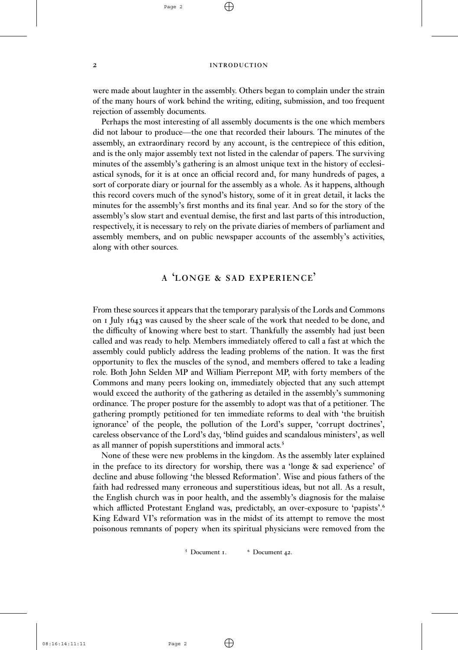$\oplus$ 

2 INTRODUCTION

were made about laughter in the assembly. Others began to complain under the strain of the many hours of work behind the writing, editing, submission, and too frequent rejection of assembly documents.

Perhaps the most interesting of all assembly documents is the one which members did not labour to produce—the one that recorded their labours. The minutes of the assembly, an extraordinary record by any account, is the centrepiece of this edition, and is the only major assembly text not listed in the calendar of papers. The surviving minutes of the assembly's gathering is an almost unique text in the history of ecclesiastical synods, for it is at once an official record and, for many hundreds of pages, a sort of corporate diary or journal for the assembly as a whole. As it happens, although this record covers much of the synod's history, some of it in great detail, it lacks the minutes for the assembly's first months and its final year. And so for the story of the assembly's slow start and eventual demise, the first and last parts of this introduction, respectively, it is necessary to rely on the private diaries of members of parliament and assembly members, and on public newspaper accounts of the assembly's activities, along with other sources.

# A LONGE & SAD EXPERIENCE'

From these sources it appears that the temporary paralysis of the Lords and Commons on I July 1643 was caused by the sheer scale of the work that needed to be done, and the difficulty of knowing where best to start. Thankfully the assembly had just been called and was ready to help. Members immediately offered to call a fast at which the assembly could publicly address the leading problems of the nation. It was the first opportunity to flex the muscles of the synod, and members offered to take a leading role. Both John Selden MP and William Pierrepont MP, with forty members of the Commons and many peers looking on, immediately objected that any such attempt would exceed the authority of the gathering as detailed in the assembly's summoning ordinance. The proper posture for the assembly to adopt was that of a petitioner. The gathering promptly petitioned for ten immediate reforms to deal with 'the bruitish ignorance' of the people, the pollution of the Lord's supper, 'corrupt doctrines', careless observance of the Lord's day, 'blind guides and scandalous ministers', as well as all manner of popish superstitions and immoral acts.<sup>5</sup>

None of these were new problems in the kingdom. As the assembly later explained in the preface to its directory for worship, there was a 'longe  $\&$  sad experience' of decline and abuse following 'the blessed Reformation'. Wise and pious fathers of the faith had redressed many erroneous and superstitious ideas, but not all. As a result, the English church was in poor health, and the assembly's diagnosis for the malaise which afflicted Protestant England was, predictably, an over-exposure to 'papists'.<sup>6</sup> King Edward VI's reformation was in the midst of its attempt to remove the most poisonous remnants of popery when its spiritual physicians were removed from the

<sup>5</sup> Document 1. <sup>6</sup> Document 42.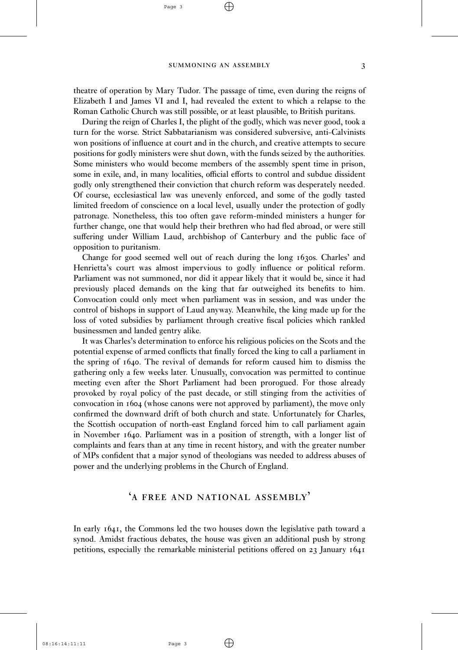$\oplus$ 

Page 3

theatre of operation by Mary Tudor. The passage of time, even during the reigns of Elizabeth I and James VI and I, had revealed the extent to which a relapse to the Roman Catholic Church was still possible, or at least plausible, to British puritans.

During the reign of Charles I, the plight of the godly, which was never good, took a turn for the worse. Strict Sabbatarianism was considered subversive, anti-Calvinists won positions of influence at court and in the church, and creative attempts to secure positions for godly ministers were shut down, with the funds seized by the authorities. Some ministers who would become members of the assembly spent time in prison, some in exile, and, in many localities, official efforts to control and subdue dissident godly only strengthened their conviction that church reform was desperately needed. Of course, ecclesiastical law was unevenly enforced, and some of the godly tasted limited freedom of conscience on a local level, usually under the protection of godly patronage. Nonetheless, this too often gave reform-minded ministers a hunger for further change, one that would help their brethren who had fled abroad, or were still suffering under William Laud, archbishop of Canterbury and the public face of opposition to puritanism.

Change for good seemed well out of reach during the long 1630s. Charles' and Henrietta's court was almost impervious to godly influence or political reform. Parliament was not summoned, nor did it appear likely that it would be, since it had previously placed demands on the king that far outweighed its benefits to him. Convocation could only meet when parliament was in session, and was under the control of bishops in support of Laud anyway. Meanwhile, the king made up for the loss of voted subsidies by parliament through creative fiscal policies which rankled businessmen and landed gentry alike.

It was Charles's determination to enforce his religious policies on the Scots and the potential expense of armed conflicts that finally forced the king to call a parliament in the spring of 1640. The revival of demands for reform caused him to dismiss the gathering only a few weeks later. Unusually, convocation was permitted to continue meeting even after the Short Parliament had been prorogued. For those already provoked by royal policy of the past decade, or still stinging from the activities of convocation in 1604 (whose canons were not approved by parliament), the move only confirmed the downward drift of both church and state. Unfortunately for Charles, the Scottish occupation of north-east England forced him to call parliament again in November  $1640$ . Parliament was in a position of strength, with a longer list of complaints and fears than at any time in recent history, and with the greater number of MPs confident that a major synod of theologians was needed to address abuses of power and the underlying problems in the Church of England.

# 'A FREE AND NATIONAL ASSEMBLY'

In early 1641, the Commons led the two houses down the legislative path toward a synod. Amidst fractious debates, the house was given an additional push by strong petitions, especially the remarkable ministerial petitions offered on  $23$  January  $1641$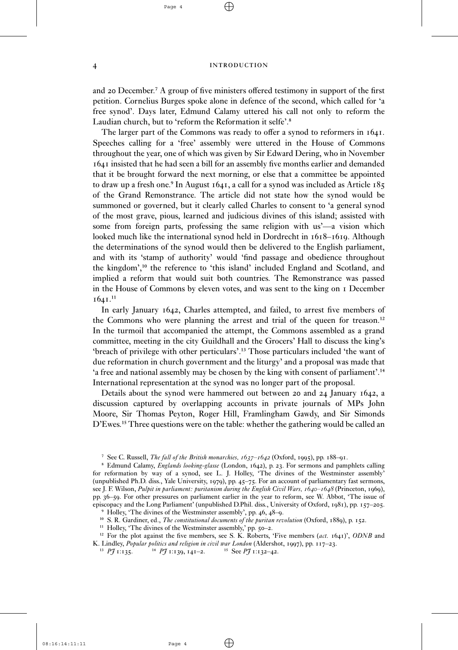# 4 INTRODUCTION

and 20 December.<sup>7</sup> A group of five ministers offered testimony in support of the first petition. Cornelius Burges spoke alone in defence of the second, which called for 'a free synod'. Days later, Edmund Calamy uttered his call not only to reform the Laudian church, but to 'reform the Reformation it selfe'.<sup>8</sup>

The larger part of the Commons was ready to offer a synod to reformers in 1641. Speeches calling for a 'free' assembly were uttered in the House of Commons throughout the year, one of which was given by Sir Edward Dering, who in November insisted that he had seen a bill for an assembly five months earlier and demanded that it be brought forward the next morning, or else that a committee be appointed to draw up a fresh one.<sup>9</sup> In August  $1641$ , a call for a synod was included as Article  $185$ of the Grand Remonstrance. The article did not state how the synod would be summoned or governed, but it clearly called Charles to consent to 'a general synod of the most grave, pious, learned and judicious divines of this island; assisted with some from foreign parts, professing the same religion with us'—a vision which looked much like the international synod held in Dordrecht in  $1618 - 1619$ . Although the determinations of the synod would then be delivered to the English parliament, and with its 'stamp of authority' would 'find passage and obedience throughout the kingdom',<sup>10</sup> the reference to 'this island' included England and Scotland, and implied a reform that would suit both countries. The Remonstrance was passed in the House of Commons by eleven votes, and was sent to the king on *I* December  $1641.<sup>11</sup>$ 

In early January 1642, Charles attempted, and failed, to arrest five members of the Commons who were planning the arrest and trial of the queen for treason.<sup>12</sup> In the turmoil that accompanied the attempt, the Commons assembled as a grand committee, meeting in the city Guildhall and the Grocers' Hall to discuss the king's 'breach of privilege with other perticulars'.<sup>13</sup> Those particulars included 'the want of due reformation in church government and the liturgy' and a proposal was made that 'a free and national assembly may be chosen by the king with consent of parliament'.<sup>14</sup> International representation at the synod was no longer part of the proposal.

Details about the synod were hammered out between 20 and 24 January 1642, a discussion captured by overlapping accounts in private journals of MPs John Moore, Sir Thomas Peyton, Roger Hill, Framlingham Gawdy, and Sir Simonds D'Ewes.<sup>15</sup> Three questions were on the table: whether the gathering would be called an

<sup>12</sup> For the plot against the five members, see S. K. Roberts, 'Five members (*act.* **1641**)', *ODNB* and

 $\oplus$ 

<sup>&</sup>lt;sup>7</sup> See C. Russell, *The fall of the British monarchies,*  $1637 - 1642$  (Oxford, 1995), pp. 188-91.

<sup>&</sup>lt;sup>8</sup> Edmund Calamy, *Englands looking-glasse* (London, 1642), p. 23. For sermons and pamphlets calling for reformation by way of a synod, see L. J. Holley, 'The divines of the Westminster assembly' (unpublished Ph.D. diss., Yale University, 1979), pp. 45-75. For an account of parliamentary fast sermons, see J. F. Wilson, *Pulpit in parliament: puritanism during the English Civil Wars,*  $1640 - 1648$  *(Princeton, 1969),* pp. 36–59. For other pressures on parliament earlier in the year to reform, see W. Abbot, 'The issue of episcopacy and the Long Parliament' (unpublished D.Phil. diss., University of Oxford,  $1981$ ), pp.  $157-205$ .

<sup>&</sup>lt;sup>9</sup> Holley, 'The divines of the Westminster assembly', pp. 46, 48-9. <sup>10</sup> S. R. Gardiner, ed., *The constitutional documents of the puritan revolution* (Oxford, 1889), p. 152.

<sup>&</sup>lt;sup>11</sup> Holley, 'The divines of the Westminster assembly,' pp. 50-2.

K. Lindley, *Popular politics and religion in civil war London* (Aldershot, 1997), pp. 117–23.<br><sup>13</sup> *Pf* 1:135. <sup>14</sup> *Pf* 1:139, 141–2. <sup>15</sup> See *Pf* 1:132–42.

 $^{13}$  *PJ*  $1:135$ .  $^{14}$  *PJ*  $1:139$ ,  $141-2$ .  $^{15}$  See *PJ*  $1:132-42$ .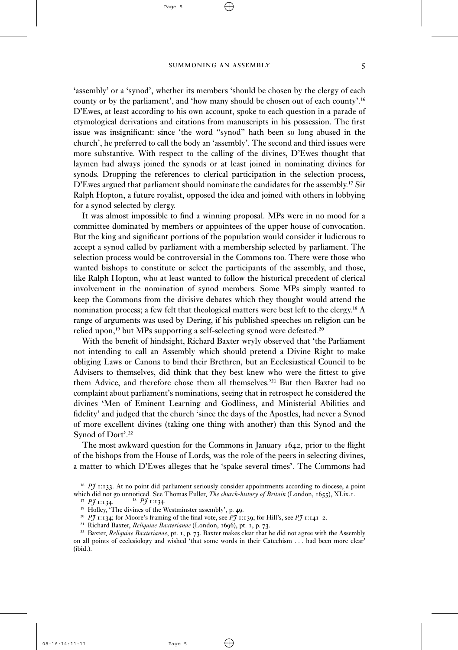$\oplus$ 

Page 5

'assembly' or a 'synod', whether its members 'should be chosen by the clergy of each county or by the parliament', and 'how many should be chosen out of each county'.<sup>16</sup> D'Ewes, at least according to his own account, spoke to each question in a parade of etymological derivations and citations from manuscripts in his possession. The first issue was insignificant: since 'the word "synod" hath been so long abused in the church', he preferred to call the body an 'assembly'. The second and third issues were more substantive. With respect to the calling of the divines, D'Ewes thought that laymen had always joined the synods or at least joined in nominating divines for synods. Dropping the references to clerical participation in the selection process, D'Ewes argued that parliament should nominate the candidates for the assembly.<sup>17</sup> Sir Ralph Hopton, a future royalist, opposed the idea and joined with others in lobbying for a synod selected by clergy.

It was almost impossible to find a winning proposal. MPs were in no mood for a committee dominated by members or appointees of the upper house of convocation. But the king and significant portions of the population would consider it ludicrous to accept a synod called by parliament with a membership selected by parliament. The selection process would be controversial in the Commons too. There were those who wanted bishops to constitute or select the participants of the assembly, and those, like Ralph Hopton, who at least wanted to follow the historical precedent of clerical involvement in the nomination of synod members. Some MPs simply wanted to keep the Commons from the divisive debates which they thought would attend the nomination process; a few felt that theological matters were best left to the clergy.<sup>18</sup> A range of arguments was used by Dering, if his published speeches on religion can be relied upon,<sup>19</sup> but MPs supporting a self-selecting synod were defeated.<sup>20</sup>

With the benefit of hindsight, Richard Baxter wryly observed that 'the Parliament not intending to call an Assembly which should pretend a Divine Right to make obliging Laws or Canons to bind their Brethren, but an Ecclesiastical Council to be Advisers to themselves, did think that they best knew who were the fittest to give them Advice, and therefore chose them all themselves.<sup>'21</sup> But then Baxter had no complaint about parliament's nominations, seeing that in retrospect he considered the divines 'Men of Eminent Learning and Godliness, and Ministerial Abilities and fidelity' and judged that the church 'since the days of the Apostles, had never a Synod of more excellent divines (taking one thing with another) than this Synod and the Synod of Dort'.<sup>22</sup>

The most awkward question for the Commons in January  $1642$ , prior to the flight of the bishops from the House of Lords, was the role of the peers in selecting divines, a matter to which D'Ewes alleges that he 'spake several times'. The Commons had

<sup>22</sup> Baxter, *Reliquiae Baxterianae*, pt. 1, p. 73. Baxter makes clear that he did not agree with the Assembly on all points of ecclesiology and wished 'that some words in their Catechism . . . had been more clear' (ibid.).

 $\oplus$ 

<sup>&</sup>lt;sup>16</sup> PJ 1:133. At no point did parliament seriously consider appointments according to diocese, a point which did not go unnoticed. See Thomas Fuller, *The church-history of Britain* (London, 1655), XI.ix.1.<br><sup>17</sup> *PJ* 1:134.

<sup>&</sup>lt;sup>18</sup> *PJ* 1:134.

<sup>&</sup>lt;sup>19</sup> Holley, 'The divines of the Westminster assembly', p. 49.

<sup>&</sup>lt;sup>20</sup> *PJ* 1:134; for Moore's framing of the final vote, see *PJ* 1:139; for Hill's, see *PJ* 1:141-2.

<sup>&</sup>lt;sup>21</sup> Richard Baxter, *Reliquiae Baxterianae* (London, 1696), pt. 1, p. 73.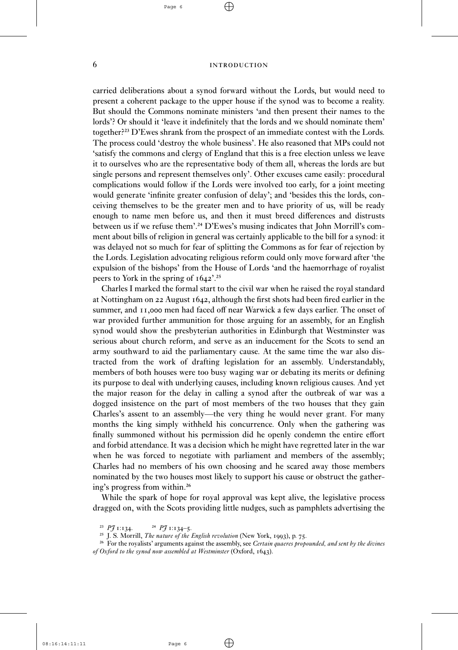#### 6 INTRODUCTION

carried deliberations about a synod forward without the Lords, but would need to present a coherent package to the upper house if the synod was to become a reality. But should the Commons nominate ministers 'and then present their names to the lords'? Or should it 'leave it indefinitely that the lords and we should nominate them' together?<sup>23</sup> D'Ewes shrank from the prospect of an immediate contest with the Lords. The process could 'destroy the whole business'. He also reasoned that MPs could not 'satisfy the commons and clergy of England that this is a free election unless we leave it to ourselves who are the representative body of them all, whereas the lords are but single persons and represent themselves only'. Other excuses came easily: procedural complications would follow if the Lords were involved too early, for a joint meeting would generate 'infinite greater confusion of delay'; and 'besides this the lords, conceiving themselves to be the greater men and to have priority of us, will be ready enough to name men before us, and then it must breed differences and distrusts between us if we refuse them'.<sup>24</sup> D'Ewes's musing indicates that John Morrill's comment about bills of religion in general was certainly applicable to the bill for a synod: it was delayed not so much for fear of splitting the Commons as for fear of rejection by the Lords. Legislation advocating religious reform could only move forward after 'the expulsion of the bishops' from the House of Lords 'and the haemorrhage of royalist peers to York in the spring of  $1642$ <sup>2.</sup><sup>25</sup>

Charles I marked the formal start to the civil war when he raised the royal standard at Nottingham on  $22$  August  $1642$ , although the first shots had been fired earlier in the summer, and 11,000 men had faced off near Warwick a few days earlier. The onset of war provided further ammunition for those arguing for an assembly, for an English synod would show the presbyterian authorities in Edinburgh that Westminster was serious about church reform, and serve as an inducement for the Scots to send an army southward to aid the parliamentary cause. At the same time the war also distracted from the work of drafting legislation for an assembly. Understandably, members of both houses were too busy waging war or debating its merits or defining its purpose to deal with underlying causes, including known religious causes. And yet the major reason for the delay in calling a synod after the outbreak of war was a dogged insistence on the part of most members of the two houses that they gain Charles's assent to an assembly—the very thing he would never grant. For many months the king simply withheld his concurrence. Only when the gathering was finally summoned without his permission did he openly condemn the entire effort and forbid attendance. It was a decision which he might have regretted later in the war when he was forced to negotiate with parliament and members of the assembly; Charles had no members of his own choosing and he scared away those members nominated by the two houses most likely to support his cause or obstruct the gathering's progress from within.<sup>26</sup>

While the spark of hope for royal approval was kept alive, the legislative process dragged on, with the Scots providing little nudges, such as pamphlets advertising the

<sup>&</sup>lt;sup>23</sup> *PJ*  $1:134$ . <sup>24</sup> *PJ*  $1:134-5$ .

<sup>&</sup>lt;sup>25</sup> J. S. Morrill, *The nature of the English revolution* (New York, 1993), p. 75.

<sup>&</sup>lt;sup>26</sup> For the royalists' arguments against the assembly, see *Certain quaeres propounded, and sent by the divines of Oxford to the synod now assembled at Westminster* (Oxford, 1643).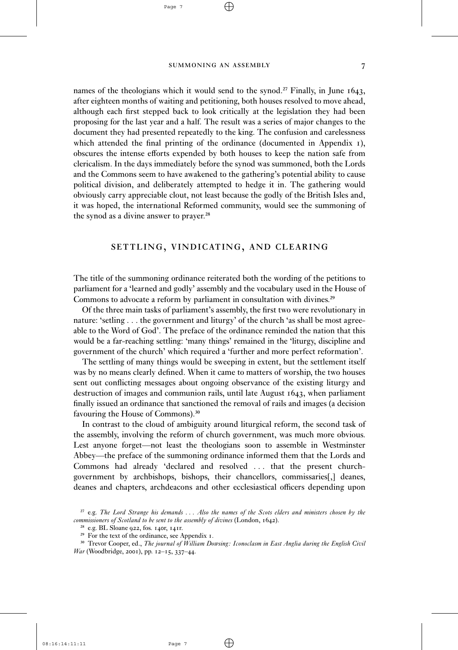$\oplus$ 

Page 7

names of the theologians which it would send to the synod.<sup>27</sup> Finally, in June  $1643$ , after eighteen months of waiting and petitioning, both houses resolved to move ahead, although each first stepped back to look critically at the legislation they had been proposing for the last year and a half. The result was a series of major changes to the document they had presented repeatedly to the king. The confusion and carelessness which attended the final printing of the ordinance (documented in Appendix 1), obscures the intense efforts expended by both houses to keep the nation safe from clericalism. In the days immediately before the synod was summoned, both the Lords and the Commons seem to have awakened to the gathering's potential ability to cause political division, and deliberately attempted to hedge it in. The gathering would obviously carry appreciable clout, not least because the godly of the British Isles and, it was hoped, the international Reformed community, would see the summoning of the synod as a divine answer to prayer.<sup>28</sup>

## SETTLING, VINDICATING, AND CLEARING

The title of the summoning ordinance reiterated both the wording of the petitions to parliament for a 'learned and godly' assembly and the vocabulary used in the House of Commons to advocate a reform by parliament in consultation with divines.<sup>29</sup>

Of the three main tasks of parliament's assembly, the first two were revolutionary in nature: 'setling . . . the government and liturgy' of the church 'as shall be most agreeable to the Word of God'. The preface of the ordinance reminded the nation that this would be a far-reaching settling: 'many things' remained in the 'liturgy, discipline and government of the church' which required a 'further and more perfect reformation'.

The settling of many things would be sweeping in extent, but the settlement itself was by no means clearly defined. When it came to matters of worship, the two houses sent out conflicting messages about ongoing observance of the existing liturgy and destruction of images and communion rails, until late August 1643, when parliament finally issued an ordinance that sanctioned the removal of rails and images (a decision favouring the House of Commons).<sup>30</sup>

In contrast to the cloud of ambiguity around liturgical reform, the second task of the assembly, involving the reform of church government, was much more obvious. Lest anyone forget—not least the theologians soon to assemble in Westminster Abbey—the preface of the summoning ordinance informed them that the Lords and Commons had already 'declared and resolved . . . that the present churchgovernment by archbishops, bishops, their chancellors, commissaries[,] deanes, deanes and chapters, archdeacons and other ecclesiastical officers depending upon

²⁷ e.g. *The Lord Strange his demands . . . Also the names of the Scots elders and ministers chosen by the commissioners of Scotland to be sent to the assembly of divines* (London, 1642).

 $28$  e.g. BL Sloane 922, fos. 140r, 141r.

<sup>&</sup>lt;sup>29</sup> For the text of the ordinance, see Appendix 1.

³⁰ Trevor Cooper, ed., *The journal of William Dowsing: Iconoclasm in East Anglia during the English Civil War* (Woodbridge, 2001), pp. 12–15, 337–44.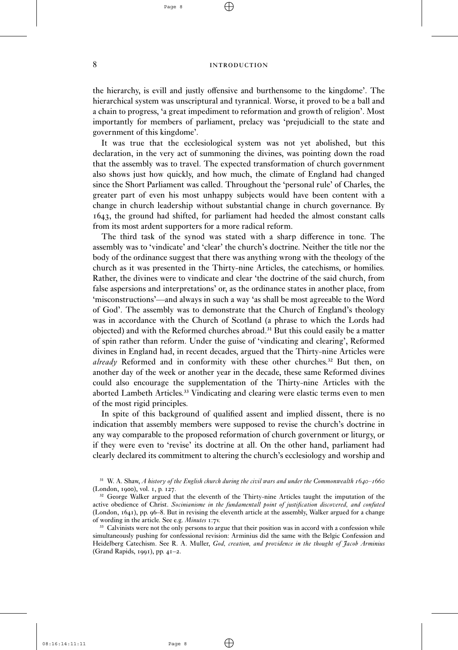### 8 INTRODUCTION

the hierarchy, is evill and justly offensive and burthensome to the kingdome'. The hierarchical system was unscriptural and tyrannical. Worse, it proved to be a ball and a chain to progress, 'a great impediment to reformation and growth of religion'. Most importantly for members of parliament, prelacy was 'prejudiciall to the state and government of this kingdome'.

It was true that the ecclesiological system was not yet abolished, but this declaration, in the very act of summoning the divines, was pointing down the road that the assembly was to travel. The expected transformation of church government also shows just how quickly, and how much, the climate of England had changed since the Short Parliament was called. Throughout the 'personal rule' of Charles, the greater part of even his most unhappy subjects would have been content with a change in church leadership without substantial change in church governance. By , the ground had shifted, for parliament had heeded the almost constant calls from its most ardent supporters for a more radical reform.

The third task of the synod was stated with a sharp difference in tone. The assembly was to 'vindicate' and 'clear' the church's doctrine. Neither the title nor the body of the ordinance suggest that there was anything wrong with the theology of the church as it was presented in the Thirty-nine Articles, the catechisms, or homilies. Rather, the divines were to vindicate and clear 'the doctrine of the said church, from false aspersions and interpretations' or, as the ordinance states in another place, from 'misconstructions'—and always in such a way 'as shall be most agreeable to the Word of God'. The assembly was to demonstrate that the Church of England's theology was in accordance with the Church of Scotland (a phrase to which the Lords had objected) and with the Reformed churches abroad.<sup>31</sup> But this could easily be a matter of spin rather than reform. Under the guise of 'vindicating and clearing', Reformed divines in England had, in recent decades, argued that the Thirty-nine Articles were *already* Reformed and in conformity with these other churches.<sup>32</sup> But then, on another day of the week or another year in the decade, these same Reformed divines could also encourage the supplementation of the Thirty-nine Articles with the aborted Lambeth Articles.<sup>33</sup> Vindicating and clearing were elastic terms even to men of the most rigid principles.

In spite of this background of qualified assent and implied dissent, there is no indication that assembly members were supposed to revise the church's doctrine in any way comparable to the proposed reformation of church government or liturgy, or if they were even to 'revise' its doctrine at all. On the other hand, parliament had clearly declared its commitment to altering the church's ecclesiology and worship and

Page 8

 $31$  W. A. Shaw, *A history of the English church during the civil wars and under the Commonwealth*  $1640 - 1660$ (London, 1900), vol. 1, p. 127.

<sup>&</sup>lt;sup>32</sup> George Walker argued that the eleventh of the Thirty-nine Articles taught the imputation of the active obedience of Christ. *Socinianisme in the fundamentall point of justification discovered, and confuted* (London,  $1641$ ), pp.  $96-8$ . But in revising the eleventh article at the assembly, Walker argued for a change of wording in the article. See e.g. *Minutes* 1:7v.

<sup>&</sup>lt;sup>33</sup> Calvinists were not the only persons to argue that their position was in accord with a confession while simultaneously pushing for confessional revision: Arminius did the same with the Belgic Confession and Heidelberg Catechism. See R. A. Muller, *God, creation, and providence in the thought of Jacob Arminius* (Grand Rapids,  $1991$ ), pp.  $41-2$ .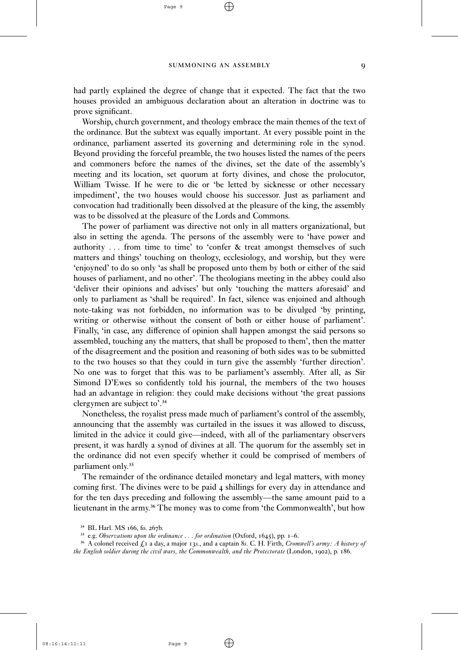had partly explained the degree of change that it expected. The fact that the two houses provided an ambiguous declaration about an alteration in doctrine was to prove significant.

Worship, church government, and theology embrace the main themes of the text of the ordinance. But the subtext was equally important. At every possible point in the ordinance, parliament asserted its governing and determining role in the synod. Beyond providing the forceful preamble, the two houses listed the names of the peers and commoners before the names of the divines, set the date of the assembly's meeting and its location, set quorum at forty divines, and chose the prolocutor, William Twisse. If he were to die or 'be letted by sicknesse or other necessary impediment', the two houses would choose his successor. Just as parliament and convocation had traditionally been dissolved at the pleasure of the king, the assembly was to be dissolved at the pleasure of the Lords and Commons.

The power of parliament was directive not only in all matters organizational, but also in setting the agenda. The persons of the assembly were to 'have power and authority . . . from time to time' to 'confer & treat amongst themselves of such matters and things' touching on theology, ecclesiology, and worship, but they were 'enjoyned' to do so only 'as shall be proposed unto them by both or either of the said houses of parliament, and no other'. The theologians meeting in the abbey could also 'deliver their opinions and advises' but only 'touching the matters aforesaid' and only to parliament as 'shall be required'. In fact, silence was enjoined and although note-taking was not forbidden, no information was to be divulged 'by printing, writing or otherwise without the consent of both or either house of parliament'. Finally, 'in case, any difference of opinion shall happen amongst the said persons so assembled, touching any the matters, that shall be proposed to them', then the matter of the disagreement and the position and reasoning of both sides was to be submitted to the two houses so that they could in turn give the assembly 'further direction'. No one was to forget that this was to be parliament's assembly. After all, as Sir Simond D'Ewes so confidently told his journal, the members of the two houses had an advantage in religion: they could make decisions without 'the great passions clergymen are subject to'.<sup>34</sup>

Nonetheless, the royalist press made much of parliament's control of the assembly, announcing that the assembly was curtailed in the issues it was allowed to discuss, limited in the advice it could give—indeed, with all of the parliamentary observers present, it was hardly a synod of divines at all. The quorum for the assembly set in the ordinance did not even specify whether it could be comprised of members of parliament only.<sup>35</sup>

The remainder of the ordinance detailed monetary and legal matters, with money coming first. The divines were to be paid 4 shillings for every day in attendance and for the ten days preceding and following the assembly—the same amount paid to a lieutenant in the army.<sup>36</sup> The money was to come from 'the Commonwealth', but how

 $\oplus$ 

<sup>&</sup>lt;sup>34</sup> BL Harl. MS 166, fo. 267b.

<sup>&</sup>lt;sup>35</sup> e.g. *Observations upon the ordinance* . . . for ordination (Oxford, 1645), pp. 1-6.

<sup>&</sup>lt;sup>36</sup> A colonel received  $\oint_{\mathcal{A}} I$  a day, a major 13s, and a captain 8s. C. H. Firth, *Cromwell's army: A history of the English soldier during the civil wars, the Commonwealth, and the Protectorate* (London, 1902), p. 186.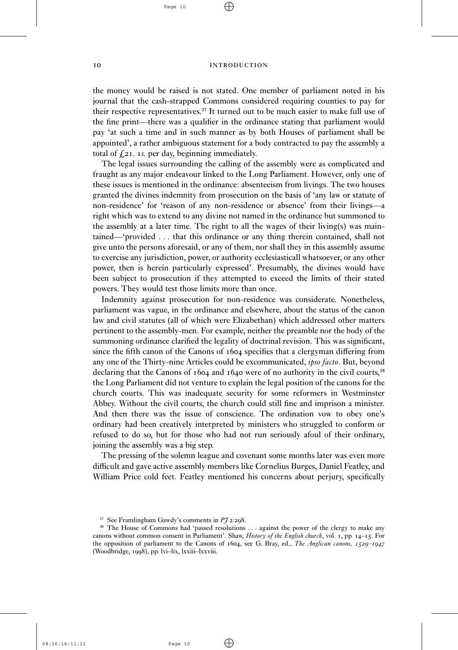$\oplus$ 

#### IO INTRODUCTION

the money would be raised is not stated. One member of parliament noted in his journal that the cash-strapped Commons considered requiring counties to pay for their respective representatives.<sup> $37$ </sup> It turned out to be much easier to make full use of the fine print—there was a qualifier in the ordinance stating that parliament would pay 'at such a time and in such manner as by both Houses of parliament shall be appointed', a rather ambiguous statement for a body contracted to pay the assembly a total of  $f(x)$ . *is.* per day, beginning immediately.

The legal issues surrounding the calling of the assembly were as complicated and fraught as any major endeavour linked to the Long Parliament. However, only one of these issues is mentioned in the ordinance: absenteeism from livings. The two houses granted the divines indemnity from prosecution on the basis of 'any law or statute of non-residence' for 'reason of any non-residence or absence' from their livings—a right which was to extend to any divine not named in the ordinance but summoned to the assembly at a later time. The right to all the wages of their living(s) was maintained—'provided . . . that this ordinance or any thing therein contained, shall not give unto the persons aforesaid, or any of them, nor shall they in this assembly assume to exercise any jurisdiction, power, or authority ecclesiasticall whatsoever, or any other power, then is herein particularly expressed'. Presumably, the divines would have been subject to prosecution if they attempted to exceed the limits of their stated powers. They would test those limits more than once.

Indemnity against prosecution for non-residence was considerate. Nonetheless, parliament was vague, in the ordinance and elsewhere, about the status of the canon law and civil statutes (all of which were Elizabethan) which addressed other matters pertinent to the assembly-men. For example, neither the preamble nor the body of the summoning ordinance clarified the legality of doctrinal revision. This was significant, since the fifth canon of the Canons of 1604 specifies that a clergyman differing from any one of the Thirty-nine Articles could be excommunicated, *ipso facto*. But, beyond declaring that the Canons of  $1604$  and  $1640$  were of no authority in the civil courts,<sup>38</sup> the Long Parliament did not venture to explain the legal position of the canons for the church courts. This was inadequate security for some reformers in Westminster Abbey. Without the civil courts, the church could still fine and imprison a minister. And then there was the issue of conscience. The ordination vow to obey one's ordinary had been creatively interpreted by ministers who struggled to conform or refused to do so, but for those who had not run seriously afoul of their ordinary, joining the assembly was a big step.

The pressing of the solemn league and covenant some months later was even more difficult and gave active assembly members like Cornelius Burges, Daniel Featley, and William Price cold feet. Featley mentioned his concerns about perjury, specifically

Æ

 $37$  See Framlingham Gawdy's comments in  $P\mathcal{F}$  2:298.

<sup>&</sup>lt;sup>38</sup> The House of Commons had 'passed resolutions . . . against the power of the clergy to make any canons without common consent in Parliament'. Shaw, *History of the English church*, vol. 1, pp. 14-15. For the opposition of parliament to the Canons of 1604, see G. Bray, ed., *The Anglican canons*,  $1529 - 1947$ (Woodbridge, 1998), pp. lvi–lix, lxxiii–lxxviii.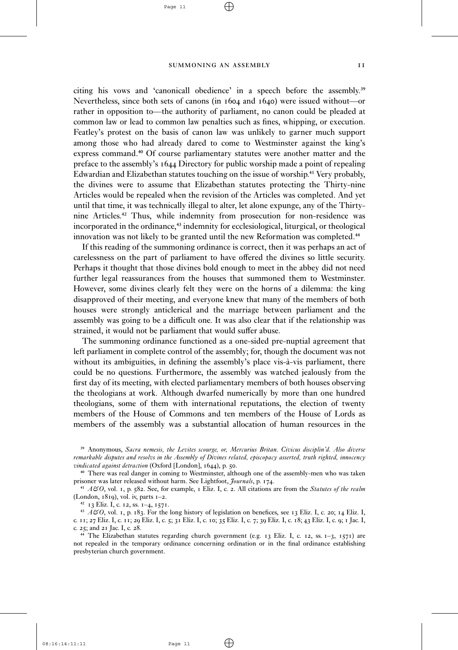$\oplus$ 

Page 11

citing his vows and 'canonicall obedience' in a speech before the assembly.<sup>39</sup> Nevertheless, since both sets of canons (in  $1604$  and  $1640$ ) were issued without—or rather in opposition to—the authority of parliament, no canon could be pleaded at common law or lead to common law penalties such as fines, whipping, or execution. Featley's protest on the basis of canon law was unlikely to garner much support among those who had already dared to come to Westminster against the king's express command.<sup>40</sup> Of course parliamentary statutes were another matter and the preface to the assembly's  $1644$  Directory for public worship made a point of repealing Edwardian and Elizabethan statutes touching on the issue of worship.<sup>41</sup> Very probably, the divines were to assume that Elizabethan statutes protecting the Thirty-nine Articles would be repealed when the revision of the Articles was completed. And yet until that time, it was technically illegal to alter, let alone expunge, any of the Thirtynine Articles.<sup>42</sup> Thus, while indemnity from prosecution for non-residence was incorporated in the ordinance,<sup>43</sup> indemnity for ecclesiological, liturgical, or theological innovation was not likely to be granted until the new Reformation was completed.<sup>44</sup>

If this reading of the summoning ordinance is correct, then it was perhaps an act of carelessness on the part of parliament to have offered the divines so little security. Perhaps it thought that those divines bold enough to meet in the abbey did not need further legal reassurances from the houses that summoned them to Westminster. However, some divines clearly felt they were on the horns of a dilemma: the king disapproved of their meeting, and everyone knew that many of the members of both houses were strongly anticlerical and the marriage between parliament and the assembly was going to be a difficult one. It was also clear that if the relationship was strained, it would not be parliament that would suffer abuse.

The summoning ordinance functioned as a one-sided pre-nuptial agreement that left parliament in complete control of the assembly; for, though the document was not without its ambiguities, in defining the assembly's place vis-à-vis parliament, there could be no questions. Furthermore, the assembly was watched jealously from the first day of its meeting, with elected parliamentary members of both houses observing the theologians at work. Although dwarfed numerically by more than one hundred theologians, some of them with international reputations, the election of twenty members of the House of Commons and ten members of the House of Lords as members of the assembly was a substantial allocation of human resources in the

<sup>41</sup>  $A\mathcal{O}$ , vol. 1, p. 582. See, for example, 1 Eliz. I, c. 2. All citations are from the *Statutes of the realm* (London,  $1819$ ), vol. iv, parts  $I=2$ .

<sup>42</sup> 13 Eliz. I, c. 12, ss. 1-4, 1571.

<sup>43</sup> *A* $\mathcal{O}$ , vol. 1, p. 183. For the long history of legislation on benefices, see 13 Eliz. I, c. 20; 14 Eliz. I, c. 11; 27 Eliz. I, c. 11; 29 Eliz. I, c. 5; 31 Eliz. I, c. 10; 35 Eliz. I, c. 7; 39 Eliz. I, c. 18; 43 Eliz. I, c. 9; 1 Jac. I, c.  $25$ ; and  $21$  Jac. I, c.  $28$ .

<sup>44</sup> The Elizabethan statutes regarding church government (e.g. 13 Eliz. I, c. 12, ss. 1-3, 1571) are not repealed in the temporary ordinance concerning ordination or in the final ordinance establishing presbyterian church government.

Æ

³⁹ Anonymous, *Sacra nemesis, the Levites scourge, or, Mercurius Britan. Civicus disciplin'd. Also diverse remarkable disputes and resolvs in the Assembly of Divines related, episcopacy asserted, truth righted, innocency vindicated against detraction* (Oxford [London], 1644), p. 50.

⁴⁰ There was real danger in coming to Westminster, although one of the assembly-men who was taken prisoner was later released without harm. See Lightfoot, *Journals*, p. 174.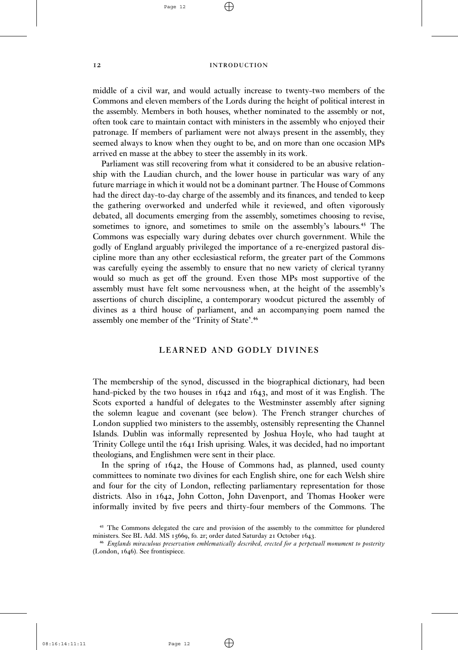$\oplus$ 

#### I2 INTRODUCTION

middle of a civil war, and would actually increase to twenty-two members of the Commons and eleven members of the Lords during the height of political interest in the assembly. Members in both houses, whether nominated to the assembly or not, often took care to maintain contact with ministers in the assembly who enjoyed their patronage. If members of parliament were not always present in the assembly, they seemed always to know when they ought to be, and on more than one occasion MPs arrived en masse at the abbey to steer the assembly in its work.

Parliament was still recovering from what it considered to be an abusive relationship with the Laudian church, and the lower house in particular was wary of any future marriage in which it would not be a dominant partner. The House of Commons had the direct day-to-day charge of the assembly and its finances, and tended to keep the gathering overworked and underfed while it reviewed, and often vigorously debated, all documents emerging from the assembly, sometimes choosing to revise, sometimes to ignore, and sometimes to smile on the assembly's labours.<sup>45</sup> The Commons was especially wary during debates over church government. While the godly of England arguably privileged the importance of a re-energized pastoral discipline more than any other ecclesiastical reform, the greater part of the Commons was carefully eyeing the assembly to ensure that no new variety of clerical tyranny would so much as get off the ground. Even those MPs most supportive of the assembly must have felt some nervousness when, at the height of the assembly's assertions of church discipline, a contemporary woodcut pictured the assembly of divines as a third house of parliament, and an accompanying poem named the assembly one member of the 'Trinity of State'.<sup>46</sup>

#### LEARNED AND GODLY DIVINES

The membership of the synod, discussed in the biographical dictionary, had been hand-picked by the two houses in  $1642$  and  $1643$ , and most of it was English. The Scots exported a handful of delegates to the Westminster assembly after signing the solemn league and covenant (see below). The French stranger churches of London supplied two ministers to the assembly, ostensibly representing the Channel Islands. Dublin was informally represented by Joshua Hoyle, who had taught at Trinity College until the 1641 Irish uprising. Wales, it was decided, had no important theologians, and Englishmen were sent in their place.

In the spring of  $1642$ , the House of Commons had, as planned, used county committees to nominate two divines for each English shire, one for each Welsh shire and four for the city of London, reflecting parliamentary representation for those districts. Also in 1642, John Cotton, John Davenport, and Thomas Hooker were informally invited by five peers and thirty-four members of the Commons. The

Æ

08:16:14:11:11

<sup>&</sup>lt;sup>45</sup> The Commons delegated the care and provision of the assembly to the committee for plundered ministers. See BL Add. MS 15669, fo. 2r; order dated Saturday 21 October 1643.

⁴⁶ *Englands miraculous preservation emblematically described, erected for a perpetuall monument to posterity* (London, 1646). See frontispiece.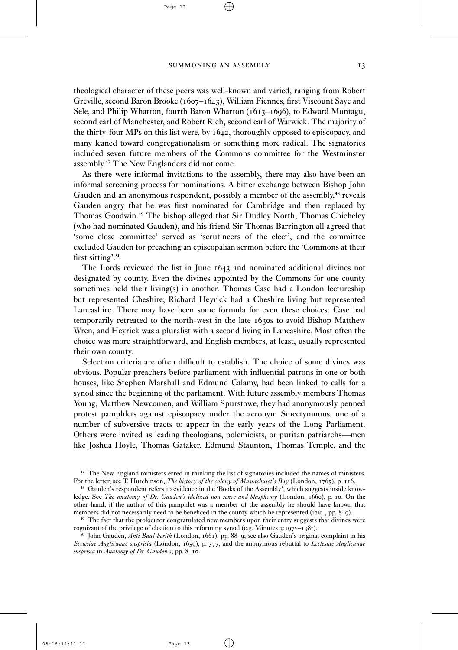$\oplus$ 

Page 13

theological character of these peers was well-known and varied, ranging from Robert Greville, second Baron Brooke ( $1607 - 1643$ ), William Fiennes, first Viscount Saye and Sele, and Philip Wharton, fourth Baron Wharton ( $1613-1696$ ), to Edward Montagu, second earl of Manchester, and Robert Rich, second earl of Warwick. The majority of the thirty-four MPs on this list were, by 1642, thoroughly opposed to episcopacy, and many leaned toward congregationalism or something more radical. The signatories included seven future members of the Commons committee for the Westminster assembly.<sup>47</sup> The New Englanders did not come.

As there were informal invitations to the assembly, there may also have been an informal screening process for nominations. A bitter exchange between Bishop John Gauden and an anonymous respondent, possibly a member of the assembly,<sup>48</sup> reveals Gauden angry that he was first nominated for Cambridge and then replaced by Thomas Goodwin.<sup>49</sup> The bishop alleged that Sir Dudley North, Thomas Chicheley (who had nominated Gauden), and his friend Sir Thomas Barrington all agreed that 'some close committee' served as 'scrutineers of the elect', and the committee excluded Gauden for preaching an episcopalian sermon before the 'Commons at their first sitting'.<sup>50</sup>

The Lords reviewed the list in June  $1643$  and nominated additional divines not designated by county. Even the divines appointed by the Commons for one county sometimes held their living(s) in another. Thomas Case had a London lectureship but represented Cheshire; Richard Heyrick had a Cheshire living but represented Lancashire. There may have been some formula for even these choices: Case had temporarily retreated to the north-west in the late 1630s to avoid Bishop Matthew Wren, and Heyrick was a pluralist with a second living in Lancashire. Most often the choice was more straightforward, and English members, at least, usually represented their own county.

Selection criteria are often difficult to establish. The choice of some divines was obvious. Popular preachers before parliament with influential patrons in one or both houses, like Stephen Marshall and Edmund Calamy, had been linked to calls for a synod since the beginning of the parliament. With future assembly members Thomas Young, Matthew Newcomen, and William Spurstowe, they had anonymously penned protest pamphlets against episcopacy under the acronym Smectymnuus, one of a number of subversive tracts to appear in the early years of the Long Parliament. Others were invited as leading theologians, polemicists, or puritan patriarchs—men like Joshua Hoyle, Thomas Gataker, Edmund Staunton, Thomas Temple, and the

⁴⁷ The New England ministers erred in thinking the list of signatories included the names of ministers. For the letter, see T. Hutchinson, *The history of the colony of Massachuset's Bay* (London, 1765), p. 116.

⁴⁸ Gauden's respondent refers to evidence in the 'Books of the Assembly', which suggests inside knowledge. See *The anatomy of Dr. Gauden's idolized non-sence and blasphemy* (London, 1660), p. 10. On the other hand, if the author of this pamphlet was a member of the assembly he should have known that members did not necessarily need to be beneficed in the county which he represented (ibid., pp. 8–9).

<sup>&</sup>lt;sup>49</sup> The fact that the prolocutor congratulated new members upon their entry suggests that divines were cognizant of the privilege of election to this reforming synod (e.g. Minutes  $3:197v-198r$ ).

<sup>&</sup>lt;sup>50</sup> John Gauden, *Anti Baal-berith* (London, 1661), pp. 88-9; see also Gauden's original complaint in his *Ecclesiae Anglicanae susprisia* (London, 1659), p. 377, and the anonymous rebuttal to *Ecclesiae Anglicanae susprisia* in *Anatomy of Dr. Gauden's*, pp. 8-10.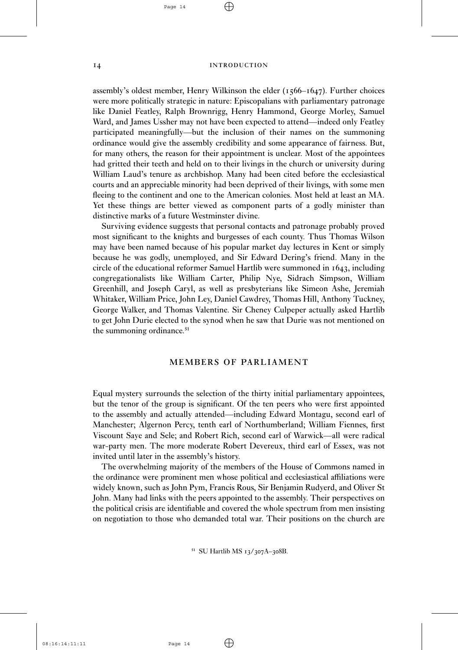$\oplus$ 

#### 14 INTRODUCTION

assembly's oldest member, Henry Wilkinson the elder  $(1566 - 1647)$ . Further choices were more politically strategic in nature: Episcopalians with parliamentary patronage like Daniel Featley, Ralph Brownrigg, Henry Hammond, George Morley, Samuel Ward, and James Ussher may not have been expected to attend—indeed only Featley participated meaningfully—but the inclusion of their names on the summoning ordinance would give the assembly credibility and some appearance of fairness. But, for many others, the reason for their appointment is unclear. Most of the appointees had gritted their teeth and held on to their livings in the church or university during William Laud's tenure as archbishop. Many had been cited before the ecclesiastical courts and an appreciable minority had been deprived of their livings, with some men fleeing to the continent and one to the American colonies. Most held at least an MA. Yet these things are better viewed as component parts of a godly minister than distinctive marks of a future Westminster divine.

Surviving evidence suggests that personal contacts and patronage probably proved most significant to the knights and burgesses of each county. Thus Thomas Wilson may have been named because of his popular market day lectures in Kent or simply because he was godly, unemployed, and Sir Edward Dering's friend. Many in the circle of the educational reformer Samuel Hartlib were summoned in  $1643$ , including congregationalists like William Carter, Philip Nye, Sidrach Simpson, William Greenhill, and Joseph Caryl, as well as presbyterians like Simeon Ashe, Jeremiah Whitaker, William Price, John Ley, Daniel Cawdrey, Thomas Hill, Anthony Tuckney, George Walker, and Thomas Valentine. Sir Cheney Culpeper actually asked Hartlib to get John Durie elected to the synod when he saw that Durie was not mentioned on the summoning ordinance.<sup>51</sup>

# **MEMBERS OF PARLIAMENT**

Equal mystery surrounds the selection of the thirty initial parliamentary appointees, but the tenor of the group is significant. Of the ten peers who were first appointed to the assembly and actually attended—including Edward Montagu, second earl of Manchester; Algernon Percy, tenth earl of Northumberland; William Fiennes, first Viscount Saye and Sele; and Robert Rich, second earl of Warwick—all were radical war-party men. The more moderate Robert Devereux, third earl of Essex, was not invited until later in the assembly's history.

The overwhelming majority of the members of the House of Commons named in the ordinance were prominent men whose political and ecclesiastical affiliations were widely known, such as John Pym, Francis Rous, Sir Benjamin Rudyerd, and Oliver St John. Many had links with the peers appointed to the assembly. Their perspectives on the political crisis are identifiable and covered the whole spectrum from men insisting on negotiation to those who demanded total war. Their positions on the church are

<sup>51</sup> SU Hartlib MS 13/307A-308B.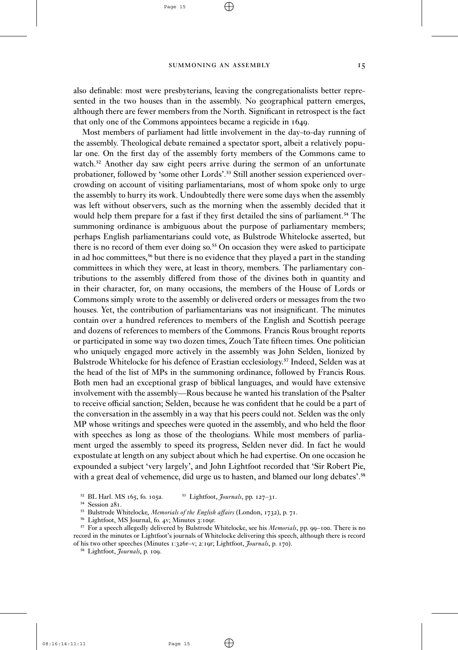$\oplus$ 

also definable: most were presbyterians, leaving the congregationalists better represented in the two houses than in the assembly. No geographical pattern emerges, although there are fewer members from the North. Significant in retrospect is the fact that only one of the Commons appointees became a regicide in 1649.

Most members of parliament had little involvement in the day-to-day running of the assembly. Theological debate remained a spectator sport, albeit a relatively popular one. On the first day of the assembly forty members of the Commons came to watch.<sup>52</sup> Another day saw eight peers arrive during the sermon of an unfortunate probationer, followed by 'some other Lords'.<sup>53</sup> Still another session experienced overcrowding on account of visiting parliamentarians, most of whom spoke only to urge the assembly to hurry its work. Undoubtedly there were some days when the assembly was left without observers, such as the morning when the assembly decided that it would help them prepare for a fast if they first detailed the sins of parliament. <sup>54</sup> The summoning ordinance is ambiguous about the purpose of parliamentary members; perhaps English parliamentarians could vote, as Bulstrode Whitelocke asserted, but there is no record of them ever doing so.<sup>55</sup> On occasion they were asked to participate in ad hoc committees,<sup>56</sup> but there is no evidence that they played a part in the standing committees in which they were, at least in theory, members. The parliamentary contributions to the assembly differed from those of the divines both in quantity and in their character, for, on many occasions, the members of the House of Lords or Commons simply wrote to the assembly or delivered orders or messages from the two houses. Yet, the contribution of parliamentarians was not insignificant. The minutes contain over a hundred references to members of the English and Scottish peerage and dozens of references to members of the Commons. Francis Rous brought reports or participated in some way two dozen times, Zouch Tate fifteen times. One politician who uniquely engaged more actively in the assembly was John Selden, lionized by Bulstrode Whitelocke for his defence of Erastian ecclesiology.<sup>57</sup> Indeed, Selden was at the head of the list of MPs in the summoning ordinance, followed by Francis Rous. Both men had an exceptional grasp of biblical languages, and would have extensive involvement with the assembly—Rous because he wanted his translation of the Psalter to receive official sanction; Selden, because he was confident that he could be a part of the conversation in the assembly in a way that his peers could not. Selden was the only MP whose writings and speeches were quoted in the assembly, and who held the floor with speeches as long as those of the theologians. While most members of parliament urged the assembly to speed its progress, Selden never did. In fact he would expostulate at length on any subject about which he had expertise. On one occasion he expounded a subject 'very largely', and John Lightfoot recorded that 'Sir Robert Pie, with a great deal of vehemence, did urge us to hasten, and blamed our long debates'.<sup>58</sup>

<sup>54</sup> Session 281.

Æ

<sup>58</sup> Lightfoot, *Journals*, p. 109.

<sup>&</sup>lt;sup>52</sup> BL Harl. MS 165, fo. 105a. <sup>53</sup> Lightfoot, *Journals*, pp. 127-31.

<sup>&</sup>lt;sup>55</sup> Bulstrode Whitelocke, *Memorials of the English affairs* (London, 1732), p. 71.

<sup>&</sup>lt;sup>56</sup> Lightfoot, MS Journal, fo. 4v; Minutes 3:109r.

<sup>&</sup>lt;sup>57</sup> For a speech allegedly delivered by Bulstrode Whitelocke, see his *Memorials*, pp. 99–100. There is no record in the minutes or Lightfoot's journals of Whitelocke delivering this speech, although there is record of his two other speeches (Minutes 1:326r-v; 2:19r; Lightfoot, *Journals*, p. 170).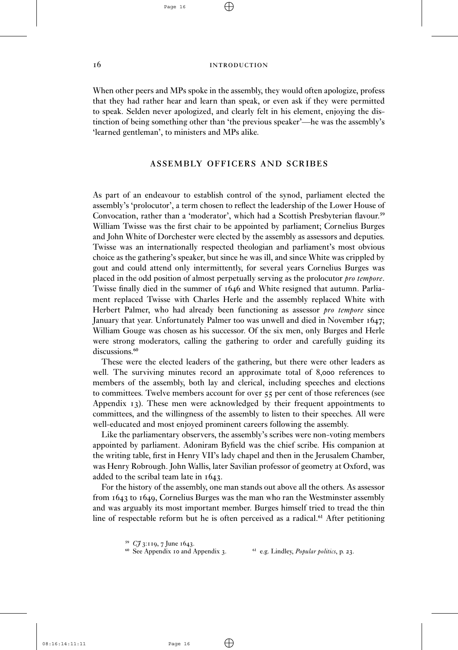$\oplus$ 

#### 16 INTRODUCTION

When other peers and MPs spoke in the assembly, they would often apologize, profess that they had rather hear and learn than speak, or even ask if they were permitted to speak. Selden never apologized, and clearly felt in his element, enjoying the distinction of being something other than 'the previous speaker'—he was the assembly's 'learned gentleman', to ministers and MPs alike.

#### **ASSEMBLY OFFICERS AND SCRIBES**

As part of an endeavour to establish control of the synod, parliament elected the assembly's 'prolocutor', a term chosen to reflect the leadership of the Lower House of Convocation, rather than a 'moderator', which had a Scottish Presbyterian flavour.<sup>59</sup> William Twisse was the first chair to be appointed by parliament; Cornelius Burges and John White of Dorchester were elected by the assembly as assessors and deputies. Twisse was an internationally respected theologian and parliament's most obvious choice as the gathering's speaker, but since he was ill, and since White was crippled by gout and could attend only intermittently, for several years Cornelius Burges was placed in the odd position of almost perpetually serving as the prolocutor *pro tempore*. Twisse finally died in the summer of  $1646$  and White resigned that autumn. Parliament replaced Twisse with Charles Herle and the assembly replaced White with Herbert Palmer, who had already been functioning as assessor *pro tempore* since January that year. Unfortunately Palmer too was unwell and died in November 1647; William Gouge was chosen as his successor. Of the six men, only Burges and Herle were strong moderators, calling the gathering to order and carefully guiding its discussions.<sup>60</sup>

These were the elected leaders of the gathering, but there were other leaders as well. The surviving minutes record an approximate total of  $8,000$  references to members of the assembly, both lay and clerical, including speeches and elections to committees. Twelve members account for over  $55$  per cent of those references (see Appendix 13). These men were acknowledged by their frequent appointments to committees, and the willingness of the assembly to listen to their speeches. All were well-educated and most enjoyed prominent careers following the assembly.

Like the parliamentary observers, the assembly's scribes were non-voting members appointed by parliament. Adoniram Byfield was the chief scribe. His companion at the writing table, first in Henry VII's lady chapel and then in the Jerusalem Chamber, was Henry Robrough. John Wallis, later Savilian professor of geometry at Oxford, was added to the scribal team late in  $1643$ .

For the history of the assembly, one man stands out above all the others. As assessor from  $1643$  to  $1649$ , Cornelius Burges was the man who ran the Westminster assembly and was arguably its most important member. Burges himself tried to tread the thin line of respectable reform but he is often perceived as a radical.<sup>61</sup> After petitioning

 $\oplus$ 

<sup>59</sup>  $CJ$  3:119, 7 June 1643.<br><sup>60</sup> See Appendix 10 and Appendix 3.

<sup>61</sup> e.g. Lindley, *Popular politics*, p. 23.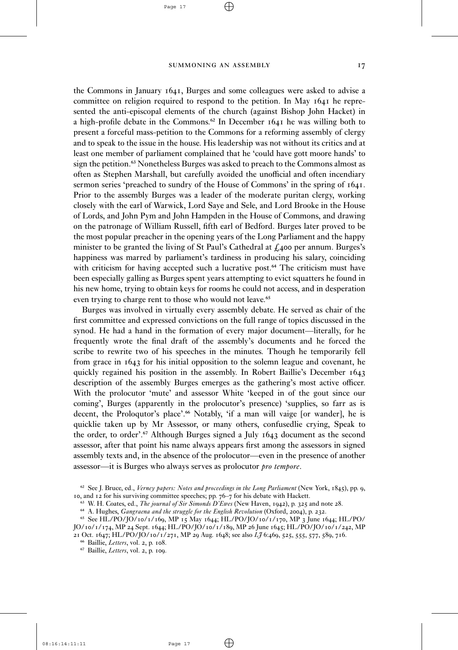$\oplus$ 

Page 17

the Commons in January  $1641$ , Burges and some colleagues were asked to advise a committee on religion required to respond to the petition. In May 1641 he represented the anti-episcopal elements of the church (against Bishop John Hacket) in a high-profile debate in the Commons.<sup>62</sup> In December 1641 he was willing both to present a forceful mass-petition to the Commons for a reforming assembly of clergy and to speak to the issue in the house. His leadership was not without its critics and at least one member of parliament complained that he 'could have gott moore hands' to sign the petition.<sup>63</sup> Nonetheless Burges was asked to preach to the Commons almost as often as Stephen Marshall, but carefully avoided the unofficial and often incendiary sermon series 'preached to sundry of the House of Commons' in the spring of  $1641$ . Prior to the assembly Burges was a leader of the moderate puritan clergy, working closely with the earl of Warwick, Lord Saye and Sele, and Lord Brooke in the House of Lords, and John Pym and John Hampden in the House of Commons, and drawing on the patronage of William Russell, fifth earl of Bedford. Burges later proved to be the most popular preacher in the opening years of the Long Parliament and the happy minister to be granted the living of St Paul's Cathedral at  $\zeta$ 400 per annum. Burges's happiness was marred by parliament's tardiness in producing his salary, coinciding with criticism for having accepted such a lucrative post.<sup>64</sup> The criticism must have been especially galling as Burges spent years attempting to evict squatters he found in his new home, trying to obtain keys for rooms he could not access, and in desperation even trying to charge rent to those who would not leave.<sup>65</sup>

Burges was involved in virtually every assembly debate. He served as chair of the first committee and expressed convictions on the full range of topics discussed in the synod. He had a hand in the formation of every major document—literally, for he frequently wrote the final draft of the assembly's documents and he forced the scribe to rewrite two of his speeches in the minutes. Though he temporarily fell from grace in 1643 for his initial opposition to the solemn league and covenant, he quickly regained his position in the assembly. In Robert Baillie's December 1643 description of the assembly Burges emerges as the gathering's most active officer. With the prolocutor 'mute' and assessor White 'keeped in of the gout since our coming', Burges (apparently in the prolocutor's presence) 'supplies, so farr as is decent, the Proloqutor's place'.<sup>66</sup> Notably, 'if a man will vaige [or wander], he is quicklie taken up by Mr Assessor, or many others, confusedlie crying, Speak to the order, to order'.<sup>67</sup> Although Burges signed a July 1643 document as the second assessor, after that point his name always appears first among the assessors in signed assembly texts and, in the absence of the prolocutor—even in the presence of another assessor—it is Burges who always serves as prolocutor *pro tempore*.

 $\oplus$ 

08:16:14:11:11

<sup>&</sup>lt;sup>62</sup> See J. Bruce, ed., *Verney papers: Notes and proceedings in the Long Parliament* (New York, 1845), pp. 9, 10, and 12 for his surviving committee speeches; pp. 76-7 for his debate with Hackett.

<sup>&</sup>lt;sup>63</sup> W. H. Coates, ed., *The journal of Sir Simonds D'Ewes* (New Haven, 1942), p. 325 and note 28.

<sup>&</sup>lt;sup>64</sup> A. Hughes, *Gangraena and the struggle for the English Revolution* (Oxford, 2004), p. 232.

<sup>&</sup>lt;sup>65</sup> See HL/PO/JO/10/1/169, MP 15 May 1644; HL/PO/JO/10/1/170, MP 3 June 1644; HL/PO/ JO/10/1/174, MP 24 Sept. 1644; HL/PO/JO/10/1/189, MP 26 June 1645; HL/PO/JO/10/1/242, MP

<sup>21</sup> Oct. 1647; HL/PO/JO/10/1/271, MP 29 Aug. 1648; see also *LJ* 6:469, 525, 555, 577, 589, 716.

<sup>&</sup>lt;sup>66</sup> Baillie, *Letters*, vol. 2, p. 108.

<sup>&</sup>lt;sup>67</sup> Baillie, Letters, vol. 2, p. 109.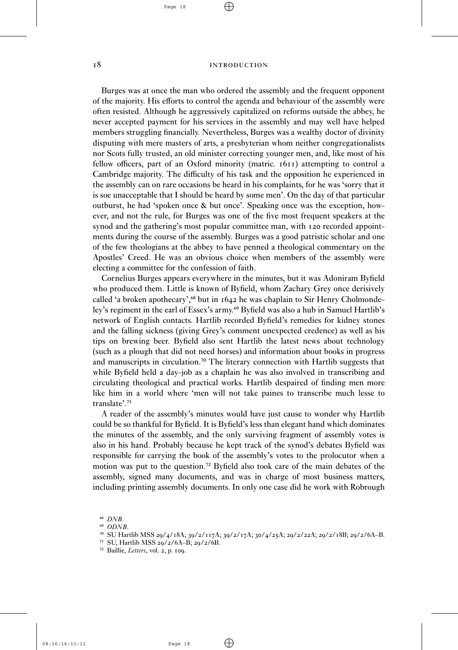$\oplus$ 

#### 18 INTRODUCTION

Burges was at once the man who ordered the assembly and the frequent opponent of the majority. His efforts to control the agenda and behaviour of the assembly were often resisted. Although he aggressively capitalized on reforms outside the abbey, he never accepted payment for his services in the assembly and may well have helped members struggling financially. Nevertheless, Burges was a wealthy doctor of divinity disputing with mere masters of arts, a presbyterian whom neither congregationalists nor Scots fully trusted, an old minister correcting younger men, and, like most of his fellow officers, part of an Oxford minority (matric. 1611) attempting to control a Cambridge majority. The difficulty of his task and the opposition he experienced in the assembly can on rare occasions be heard in his complaints, for he was 'sorry that it is soe unacceptable that I should be heard by some men'. On the day of that particular outburst, he had 'spoken once & but once'. Speaking once was the exception, however, and not the rule, for Burges was one of the five most frequent speakers at the synod and the gathering's most popular committee man, with 120 recorded appointments during the course of the assembly. Burges was a good patristic scholar and one of the few theologians at the abbey to have penned a theological commentary on the Apostles' Creed. He was an obvious choice when members of the assembly were electing a committee for the confession of faith.

Cornelius Burges appears everywhere in the minutes, but it was Adoniram Byfield who produced them. Little is known of Byfield, whom Zachary Grey once derisively called 'a broken apothecary',<sup>68</sup> but in 1642 he was chaplain to Sir Henry Cholmondeley's regiment in the earl of Essex's army.<sup>69</sup> Byfield was also a hub in Samuel Hartlib's network of English contacts. Hartlib recorded Byfield's remedies for kidney stones and the falling sickness (giving Grey's comment unexpected credence) as well as his tips on brewing beer. Byfield also sent Hartlib the latest news about technology (such as a plough that did not need horses) and information about books in progress and manuscripts in circulation.<sup>70</sup> The literary connection with Hartlib suggests that while Byfield held a day-job as a chaplain he was also involved in transcribing and circulating theological and practical works. Hartlib despaired of finding men more like him in a world where 'men will not take paines to transcribe much lesse to translate'.<sup>71</sup>

A reader of the assembly's minutes would have just cause to wonder why Hartlib could be so thankful for Byfield. It is Byfield's less than elegant hand which dominates the minutes of the assembly, and the only surviving fragment of assembly votes is also in his hand. Probably because he kept track of the synod's debates Byfield was responsible for carrying the book of the assembly's votes to the prolocutor when a motion was put to the question.<sup>72</sup> Byfield also took care of the main debates of the assembly, signed many documents, and was in charge of most business matters, including printing assembly documents. In only one case did he work with Robrough

 $\oplus$ 

⁶⁸ *DNB*.

⁶⁹ *ODNB*.

<sup>&</sup>lt;sup>70</sup> SU Hartlib MSS 29/4/18A; 39/2/117A; 39/2/17A; 30/4/25A; 29/2/22A; 29/2/18B; 29/2/6A-B.

 $71$  SU, Hartlib MSS 29/2/6A–B; 29/2/6B.

<sup>&</sup>lt;sup>72</sup> Baillie, Letters, vol. 2, p. 109.